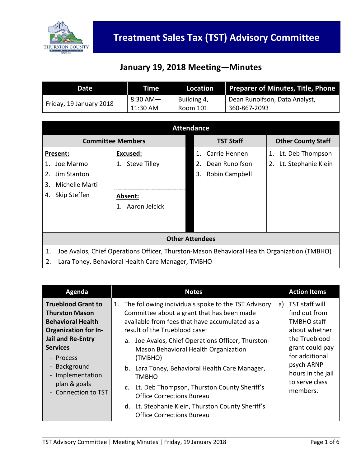

#### **January 19, 2018 Meeting—Minutes**

| Date                    | Time       | Location    | Preparer of Minutes, Title, Phone |
|-------------------------|------------|-------------|-----------------------------------|
|                         | $8:30$ AM- | Building 4, | Dean Runolfson, Data Analyst,     |
| Friday, 19 January 2018 | 11:30 AM   | Room 101    | 360-867-2093                      |

| <b>Attendance</b>                                                                                 |                          |                                 |                           |
|---------------------------------------------------------------------------------------------------|--------------------------|---------------------------------|---------------------------|
|                                                                                                   | <b>Committee Members</b> | <b>TST Staff</b>                | <b>Other County Staff</b> |
| Present:                                                                                          | Excused:                 | Carrie Hennen<br>$\mathbf{1}$ . | Lt. Deb Thompson<br>1.    |
| Joe Marmo                                                                                         | 1. Steve Tilley          | Dean Runolfson<br>2.            | Lt. Stephanie Klein<br>2. |
| Jim Stanton<br>2.                                                                                 |                          | Robin Campbell<br>3.            |                           |
| Michelle Marti<br>3.                                                                              |                          |                                 |                           |
| Skip Steffen<br>4.                                                                                | Absent:                  |                                 |                           |
|                                                                                                   | Aaron Jelcick<br>1.      |                                 |                           |
|                                                                                                   |                          |                                 |                           |
|                                                                                                   |                          |                                 |                           |
| <b>Other Attendees</b>                                                                            |                          |                                 |                           |
| Joe Avalos, Chief Operations Officer, Thurston-Mason Behavioral Health Organization (TMBHO)<br>1. |                          |                                 |                           |
| 2.<br>Lara Toney, Behavioral Health Care Manager, TMBHO                                           |                          |                                 |                           |

| Agenda                                                                                                                       | <b>Notes</b>                                                                                                                                                                                                                                                                                                | <b>Action Items</b>                                                                                                                                                                                 |
|------------------------------------------------------------------------------------------------------------------------------|-------------------------------------------------------------------------------------------------------------------------------------------------------------------------------------------------------------------------------------------------------------------------------------------------------------|-----------------------------------------------------------------------------------------------------------------------------------------------------------------------------------------------------|
| <b>Trueblood Grant to</b><br><b>Thurston Mason</b><br><b>Behavioral Health</b><br><b>Organization for In-</b>                | The following individuals spoke to the TST Advisory<br>1.<br>Committee about a grant that has been made<br>available from fees that have accumulated as a<br>result of the Trueblood case:                                                                                                                  | TST staff will<br>a)<br>find out from<br><b>TMBHO</b> staff<br>about whether<br>the Trueblood<br>grant could pay<br>for additional<br>psych ARNP<br>hours in the jail<br>to serve class<br>members. |
| Jail and Re-Entry<br><b>Services</b><br>- Process<br>- Background<br>- Implementation<br>plan & goals<br>- Connection to TST | a. Joe Avalos, Chief Operations Officer, Thurston-<br>Mason Behavioral Health Organization<br>(TMBHO)<br>b. Lara Toney, Behavioral Health Care Manager,<br>TMBHO<br>c. Lt. Deb Thompson, Thurston County Sheriff's<br><b>Office Corrections Bureau</b><br>d. Lt. Stephanie Klein, Thurston County Sheriff's |                                                                                                                                                                                                     |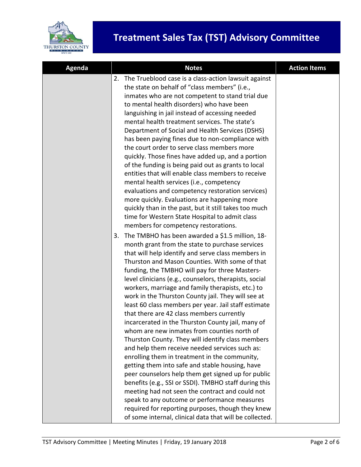

| <b>Agenda</b> | <b>Notes</b>                                                                                                                                                                                                                                                                                                                                                                                                                                                                                                                                                                                                                                                                                                                                                                                                                                                                                                                                                                                                                                                                                                                                                                                  | <b>Action Items</b> |
|---------------|-----------------------------------------------------------------------------------------------------------------------------------------------------------------------------------------------------------------------------------------------------------------------------------------------------------------------------------------------------------------------------------------------------------------------------------------------------------------------------------------------------------------------------------------------------------------------------------------------------------------------------------------------------------------------------------------------------------------------------------------------------------------------------------------------------------------------------------------------------------------------------------------------------------------------------------------------------------------------------------------------------------------------------------------------------------------------------------------------------------------------------------------------------------------------------------------------|---------------------|
|               | The Trueblood case is a class-action lawsuit against<br>2.<br>the state on behalf of "class members" (i.e.,<br>inmates who are not competent to stand trial due<br>to mental health disorders) who have been<br>languishing in jail instead of accessing needed<br>mental health treatment services. The state's<br>Department of Social and Health Services (DSHS)<br>has been paying fines due to non-compliance with<br>the court order to serve class members more<br>quickly. Those fines have added up, and a portion<br>of the funding is being paid out as grants to local<br>entities that will enable class members to receive<br>mental health services (i.e., competency<br>evaluations and competency restoration services)<br>more quickly. Evaluations are happening more<br>quickly than in the past, but it still takes too much<br>time for Western State Hospital to admit class<br>members for competency restorations.                                                                                                                                                                                                                                                   |                     |
|               | The TMBHO has been awarded a \$1.5 million, 18-<br>3.<br>month grant from the state to purchase services<br>that will help identify and serve class members in<br>Thurston and Mason Counties. With some of that<br>funding, the TMBHO will pay for three Masters-<br>level clinicians (e.g., counselors, therapists, social<br>workers, marriage and family therapists, etc.) to<br>work in the Thurston County jail. They will see at<br>least 60 class members per year. Jail staff estimate<br>that there are 42 class members currently<br>incarcerated in the Thurston County jail, many of<br>whom are new inmates from counties north of<br>Thurston County. They will identify class members<br>and help them receive needed services such as:<br>enrolling them in treatment in the community,<br>getting them into safe and stable housing, have<br>peer counselors help them get signed up for public<br>benefits (e.g., SSI or SSDI). TMBHO staff during this<br>meeting had not seen the contract and could not<br>speak to any outcome or performance measures<br>required for reporting purposes, though they knew<br>of some internal, clinical data that will be collected. |                     |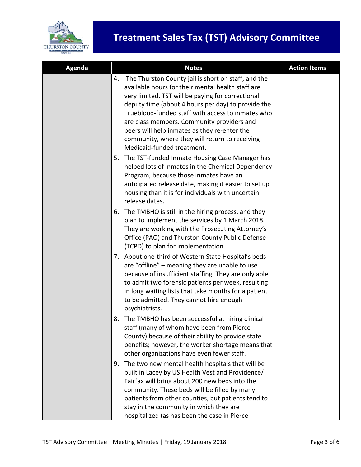

| Agenda | <b>Notes</b>                                                                                                                                                                                                                                                                                                                                                                                                                                                 | <b>Action Items</b> |
|--------|--------------------------------------------------------------------------------------------------------------------------------------------------------------------------------------------------------------------------------------------------------------------------------------------------------------------------------------------------------------------------------------------------------------------------------------------------------------|---------------------|
|        | The Thurston County jail is short on staff, and the<br>4.<br>available hours for their mental health staff are<br>very limited. TST will be paying for correctional<br>deputy time (about 4 hours per day) to provide the<br>Trueblood-funded staff with access to inmates who<br>are class members. Community providers and<br>peers will help inmates as they re-enter the<br>community, where they will return to receiving<br>Medicaid-funded treatment. |                     |
|        | The TST-funded Inmate Housing Case Manager has<br>5.<br>helped lots of inmates in the Chemical Dependency<br>Program, because those inmates have an<br>anticipated release date, making it easier to set up<br>housing than it is for individuals with uncertain<br>release dates.                                                                                                                                                                           |                     |
|        | The TMBHO is still in the hiring process, and they<br>6.<br>plan to implement the services by 1 March 2018.<br>They are working with the Prosecuting Attorney's<br>Office (PAO) and Thurston County Public Defense<br>(TCPD) to plan for implementation.                                                                                                                                                                                                     |                     |
|        | 7. About one-third of Western State Hospital's beds<br>are "offline" - meaning they are unable to use<br>because of insufficient staffing. They are only able<br>to admit two forensic patients per week, resulting<br>in long waiting lists that take months for a patient<br>to be admitted. They cannot hire enough<br>psychiatrists.                                                                                                                     |                     |
|        | 8. The TMBHO has been successful at hiring clinical<br>staff (many of whom have been from Pierce<br>County) because of their ability to provide state<br>benefits; however, the worker shortage means that<br>other organizations have even fewer staff.                                                                                                                                                                                                     |                     |
|        | The two new mental health hospitals that will be<br>9.<br>built in Lacey by US Health Vest and Providence/<br>Fairfax will bring about 200 new beds into the<br>community. These beds will be filled by many<br>patients from other counties, but patients tend to<br>stay in the community in which they are<br>hospitalized (as has been the case in Pierce                                                                                                |                     |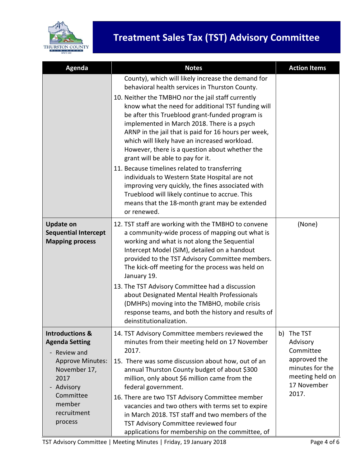

| Agenda                                                                                                                                                                            | <b>Notes</b>                                                                                                                                                                                                                                                                                                                                                                                                                                                                                                                                                                                                                                                                                                                                                                                | <b>Action Items</b>                                                                                                  |
|-----------------------------------------------------------------------------------------------------------------------------------------------------------------------------------|---------------------------------------------------------------------------------------------------------------------------------------------------------------------------------------------------------------------------------------------------------------------------------------------------------------------------------------------------------------------------------------------------------------------------------------------------------------------------------------------------------------------------------------------------------------------------------------------------------------------------------------------------------------------------------------------------------------------------------------------------------------------------------------------|----------------------------------------------------------------------------------------------------------------------|
|                                                                                                                                                                                   | County), which will likely increase the demand for<br>behavioral health services in Thurston County.<br>10. Neither the TMBHO nor the jail staff currently<br>know what the need for additional TST funding will<br>be after this Trueblood grant-funded program is<br>implemented in March 2018. There is a psych<br>ARNP in the jail that is paid for 16 hours per week,<br>which will likely have an increased workload.<br>However, there is a question about whether the<br>grant will be able to pay for it.<br>11. Because timelines related to transferring<br>individuals to Western State Hospital are not<br>improving very quickly, the fines associated with<br>Trueblood will likely continue to accrue. This<br>means that the 18-month grant may be extended<br>or renewed. |                                                                                                                      |
| <b>Update on</b><br><b>Sequential Intercept</b><br><b>Mapping process</b>                                                                                                         | 12. TST staff are working with the TMBHO to convene<br>a community-wide process of mapping out what is<br>working and what is not along the Sequential<br>Intercept Model (SIM), detailed on a handout<br>provided to the TST Advisory Committee members.<br>The kick-off meeting for the process was held on<br>January 19.<br>13. The TST Advisory Committee had a discussion<br>about Designated Mental Health Professionals<br>(DMHPs) moving into the TMBHO, mobile crisis<br>response teams, and both the history and results of<br>deinstitutionalization.                                                                                                                                                                                                                           | (None)                                                                                                               |
| <b>Introductions &amp;</b><br><b>Agenda Setting</b><br>Review and<br><b>Approve Minutes:</b><br>November 17,<br>2017<br>Advisory<br>Committee<br>member<br>recruitment<br>process | 14. TST Advisory Committee members reviewed the<br>minutes from their meeting held on 17 November<br>2017.<br>15. There was some discussion about how, out of an<br>annual Thurston County budget of about \$300<br>million, only about \$6 million came from the<br>federal government.<br>16. There are two TST Advisory Committee member<br>vacancies and two others with terms set to expire<br>in March 2018. TST staff and two members of the<br>TST Advisory Committee reviewed four<br>applications for membership on the committee, of                                                                                                                                                                                                                                             | The TST<br>b)<br>Advisory<br>Committee<br>approved the<br>minutes for the<br>meeting held on<br>17 November<br>2017. |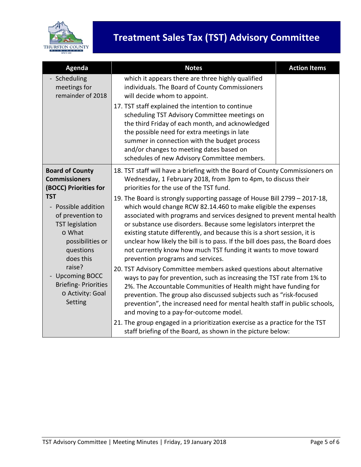

| Agenda                                                                                                                                                                                                                                 | <b>Notes</b>                                                                                                                                                                                                                                                                                                                                                                                                                                                                                                                                                       | <b>Action Items</b> |  |
|----------------------------------------------------------------------------------------------------------------------------------------------------------------------------------------------------------------------------------------|--------------------------------------------------------------------------------------------------------------------------------------------------------------------------------------------------------------------------------------------------------------------------------------------------------------------------------------------------------------------------------------------------------------------------------------------------------------------------------------------------------------------------------------------------------------------|---------------------|--|
| - Scheduling<br>meetings for<br>remainder of 2018                                                                                                                                                                                      | which it appears there are three highly qualified<br>individuals. The Board of County Commissioners<br>will decide whom to appoint.<br>17. TST staff explained the intention to continue                                                                                                                                                                                                                                                                                                                                                                           |                     |  |
|                                                                                                                                                                                                                                        | scheduling TST Advisory Committee meetings on<br>the third Friday of each month, and acknowledged<br>the possible need for extra meetings in late<br>summer in connection with the budget process<br>and/or changes to meeting dates based on<br>schedules of new Advisory Committee members.                                                                                                                                                                                                                                                                      |                     |  |
| <b>Board of County</b><br><b>Commissioners</b><br>(BOCC) Priorities for                                                                                                                                                                | 18. TST staff will have a briefing with the Board of County Commissioners on<br>Wednesday, 1 February 2018, from 3pm to 4pm, to discuss their<br>priorities for the use of the TST fund.                                                                                                                                                                                                                                                                                                                                                                           |                     |  |
| <b>TST</b><br>- Possible addition<br>of prevention to<br><b>TST</b> legislation<br>o What<br>possibilities or<br>questions<br>does this<br>raise?<br><b>Upcoming BOCC</b><br><b>Briefing-Priorities</b><br>o Activity: Goal<br>Setting | 19. The Board is strongly supporting passage of House Bill 2799 - 2017-18,<br>which would change RCW 82.14.460 to make eligible the expenses<br>associated with programs and services designed to prevent mental health<br>or substance use disorders. Because some legislators interpret the<br>existing statute differently, and because this is a short session, it is<br>unclear how likely the bill is to pass. If the bill does pass, the Board does<br>not currently know how much TST funding it wants to move toward<br>prevention programs and services. |                     |  |
|                                                                                                                                                                                                                                        | 20. TST Advisory Committee members asked questions about alternative<br>ways to pay for prevention, such as increasing the TST rate from 1% to<br>2%. The Accountable Communities of Health might have funding for<br>prevention. The group also discussed subjects such as "risk-focused<br>prevention", the increased need for mental health staff in public schools,<br>and moving to a pay-for-outcome model.                                                                                                                                                  |                     |  |
|                                                                                                                                                                                                                                        | 21. The group engaged in a prioritization exercise as a practice for the TST<br>staff briefing of the Board, as shown in the picture below:                                                                                                                                                                                                                                                                                                                                                                                                                        |                     |  |